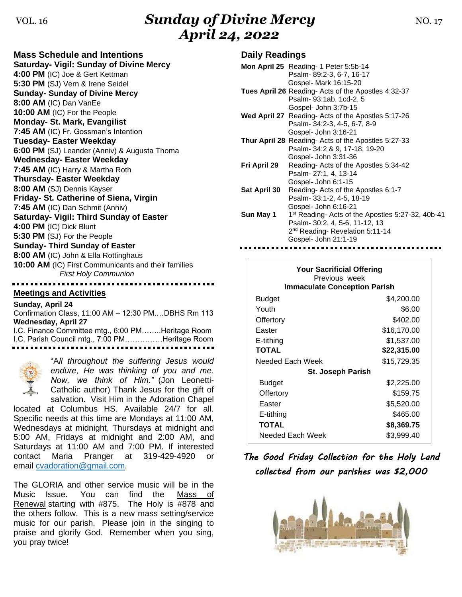# VOL. 16 **Sunday of Divine Mercy** NO. 17 *April 24, 2022*

**Mass Schedule and Intentions Saturday- Vigil: Sunday of Divine Mercy 4:00 PM** (IC) Joe & Gert Kettman **5:30 PM** (SJ) Vern & Irene Seidel **Sunday- Sunday of Divine Mercy 8:00 AM** (IC) Dan VanEe **10:00 AM** (IC) For the People **Monday- St. Mark, Evangilist 7:45 AM** (IC) Fr. Gossman's Intention **Tuesday- Easter Weekday 6:00 PM** (SJ) Leander (Anniv) & Augusta Thoma **Wednesday- Easter Weekday 7:45 AM** (IC) Harry & Martha Roth **Thursday- Easter Weekday 8:00 AM** (SJ) Dennis Kayser **Friday- St. Catherine of Siena, Virgin 7:45 AM** (IC) Dan Schmit (Anniv) **Saturday- Vigil: Third Sunday of Easter 4:00 PM** (IC) Dick Blunt **5:30 PM** (SJ) For the People **Sunday- Third Sunday of Easter 8:00 AM** (IC) John & Ella Rottinghaus **10:00 AM** (IC) First Communicants and their families *First Holy Communion*

## **Meetings and Activities**

**Sunday, April 24** Confirmation Class, 11:00 AM – 12:30 PM.…DBHS Rm 113 **Wednesday, April 27** I.C. Finance Committee mtg., 6:00 PM……..Heritage Room I.C. Parish Council mtg., 7:00 PM……………Heritage Room



"A*ll throughout the suffering Jesus would endure, He was thinking of you and me. Now, we think of Him."* (Jon Leonetti-Catholic author) Thank Jesus for the gift of salvation. Visit Him in the Adoration Chapel

located at Columbus HS. Available 24/7 for all. Specific needs at this time are Mondays at 11:00 AM, Wednesdays at midnight, Thursdays at midnight and 5:00 AM, Fridays at midnight and 2:00 AM, and Saturdays at 11:00 AM and 7:00 PM. If interested contact Maria Pranger at 319-429-4920 or email [cvadoration@gmail.com.](mailto:cvadoration@gmail.com)

The GLORIA and other service music will be in the Music Issue. You can find the Mass of Renewal starting with #875. The Holy is #878 and the others follow. This is a new mass setting/service music for our parish. Please join in the singing to praise and glorify God. Remember when you sing, you pray twice!

## **Daily Readings**

|                     | Mon April 25 Reading- 1 Peter 5:5b-14                         |
|---------------------|---------------------------------------------------------------|
|                     | Psalm-89:2-3, 6-7, 16-17                                      |
|                     | Gospel- Mark 16:15-20                                         |
|                     | <b>Tues April 26</b> Reading- Acts of the Apostles 4:32-37    |
|                     | Psalm- 93:1ab, 1cd-2, 5                                       |
|                     | Gospel- John 3:7b-15                                          |
|                     | Wed April 27 Reading- Acts of the Apostles 5:17-26            |
|                     | Psalm- 34:2-3, 4-5, 6-7, 8-9                                  |
|                     | Gospel- John 3:16-21                                          |
|                     | <b>Thur April 28</b> Reading- Acts of the Apostles 5:27-33    |
|                     | Psalm- 34:2 & 9, 17-18, 19-20                                 |
|                     | Gospel- John 3:31-36                                          |
| Fri April 29        | Reading-Acts of the Apostles 5:34-42                          |
|                     | Psalm-27:1, 4, 13-14                                          |
|                     | Gospel- John 6:1-15                                           |
| <b>Sat April 30</b> | Reading-Acts of the Apostles 6:1-7                            |
|                     | Psalm- 33:1-2, 4-5, 18-19                                     |
|                     | Gospel- John 6:16-21                                          |
| Sun May 1           | 1 <sup>st</sup> Reading- Acts of the Apostles 5:27-32, 40b-41 |
|                     | Psalm- 30:2, 4, 5-6, 11-12, 13                                |
|                     | 2 <sup>nd</sup> Reading-Revelation 5:11-14                    |
|                     | Gospel- John 21:1-19                                          |

| <b>Your Sacrificial Offering</b><br>Previous week<br><b>Immaculate Conception Parish</b> |             |  |  |
|------------------------------------------------------------------------------------------|-------------|--|--|
| Budget                                                                                   | \$4,200.00  |  |  |
| Youth                                                                                    | \$6.00      |  |  |
| Offertory                                                                                | \$402.00    |  |  |
| Easter                                                                                   | \$16,170.00 |  |  |
| E-tithing                                                                                | \$1,537.00  |  |  |
| <b>TOTAL</b>                                                                             | \$22,315.00 |  |  |
| Needed Each Week                                                                         | \$15,729.35 |  |  |
| St. Joseph Parish                                                                        |             |  |  |
| Budget                                                                                   | \$2,225.00  |  |  |
| Offertory                                                                                | \$159.75    |  |  |
| Easter                                                                                   | \$5,520.00  |  |  |
| E-tithing                                                                                | \$465.00    |  |  |
| <b>TOTAL</b>                                                                             | \$8,369.75  |  |  |
| Needed Each Week                                                                         | \$3.999.40  |  |  |

*The Good Friday Collection for the Holy Land collected from our parishes was \$2,000*